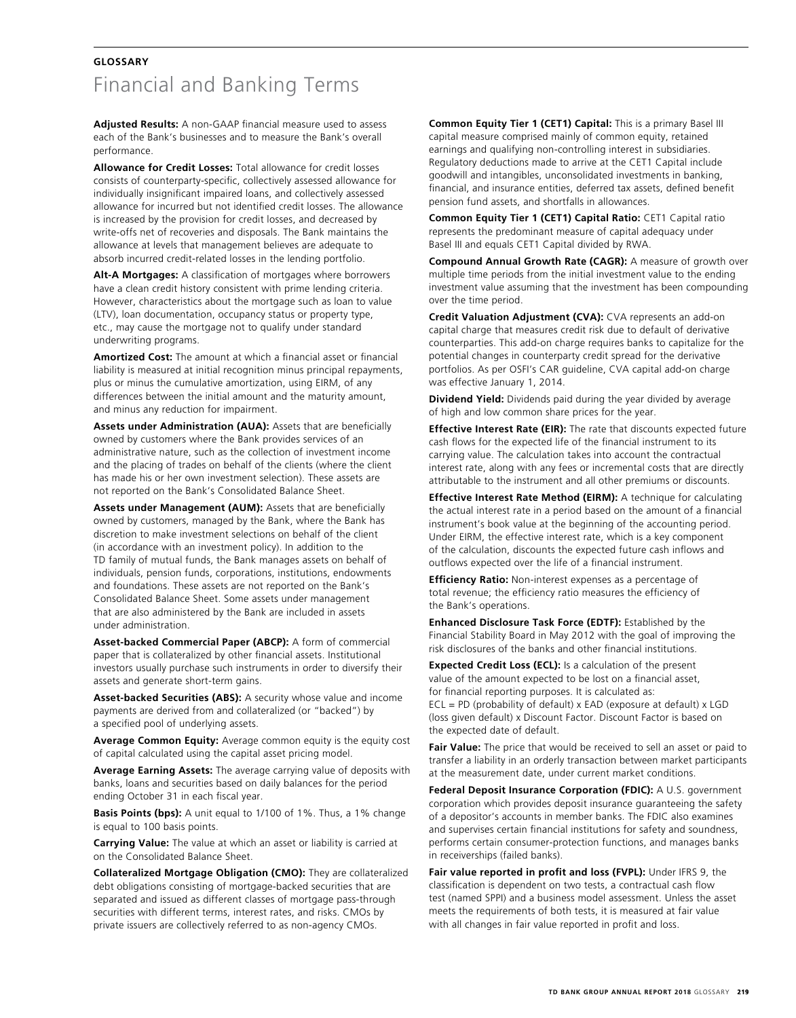## **GLOSSARY** Financial and Banking Terms

**Adjusted Results:** A non-GAAP financial measure used to assess each of the Bank's businesses and to measure the Bank's overall performance.

**Allowance for Credit Losses:** Total allowance for credit losses consists of counterparty-specific, collectively assessed allowance for individually insignificant impaired loans, and collectively assessed allowance for incurred but not identified credit losses. The allowance is increased by the provision for credit losses, and decreased by write-offs net of recoveries and disposals. The Bank maintains the allowance at levels that management believes are adequate to absorb incurred credit-related losses in the lending portfolio.

**Alt-A Mortgages:** A classification of mortgages where borrowers have a clean credit history consistent with prime lending criteria. However, characteristics about the mortgage such as loan to value (LTV), loan documentation, occupancy status or property type, etc., may cause the mortgage not to qualify under standard underwriting programs.

**Amortized Cost:** The amount at which a financial asset or financial liability is measured at initial recognition minus principal repayments, plus or minus the cumulative amortization, using EIRM, of any differences between the initial amount and the maturity amount, and minus any reduction for impairment.

**Assets under Administration (AUA):** Assets that are beneficially owned by customers where the Bank provides services of an administrative nature, such as the collection of investment income and the placing of trades on behalf of the clients (where the client has made his or her own investment selection). These assets are not reported on the Bank's Consolidated Balance Sheet.

**Assets under Management (AUM):** Assets that are beneficially owned by customers, managed by the Bank, where the Bank has discretion to make investment selections on behalf of the client (in accordance with an investment policy). In addition to the TD family of mutual funds, the Bank manages assets on behalf of individuals, pension funds, corporations, institutions, endowments and foundations. These assets are not reported on the Bank's Consolidated Balance Sheet. Some assets under management that are also administered by the Bank are included in assets under administration.

**Asset-backed Commercial Paper (ABCP):** A form of commercial paper that is collateralized by other financial assets. Institutional investors usually purchase such instruments in order to diversify their assets and generate short-term gains.

**Asset-backed Securities (ABS):** A security whose value and income payments are derived from and collateralized (or "backed") by a specified pool of underlying assets.

**Average Common Equity:** Average common equity is the equity cost of capital calculated using the capital asset pricing model.

**Average Earning Assets:** The average carrying value of deposits with banks, loans and securities based on daily balances for the period ending October 31 in each fiscal year.

**Basis Points (bps):** A unit equal to 1/100 of 1%. Thus, a 1% change is equal to 100 basis points.

**Carrying Value:** The value at which an asset or liability is carried at on the Consolidated Balance Sheet.

**Collateralized Mortgage Obligation (CMO):** They are collateralized debt obligations consisting of mortgage-backed securities that are separated and issued as different classes of mortgage pass-through securities with different terms, interest rates, and risks. CMOs by private issuers are collectively referred to as non-agency CMOs.

**Common Equity Tier 1 (CET1) Capital:** This is a primary Basel III capital measure comprised mainly of common equity, retained earnings and qualifying non-controlling interest in subsidiaries. Regulatory deductions made to arrive at the CET1 Capital include goodwill and intangibles, unconsolidated investments in banking, financial, and insurance entities, deferred tax assets, defined benefit pension fund assets, and shortfalls in allowances.

**Common Equity Tier 1 (CET1) Capital Ratio:** CET1 Capital ratio represents the predominant measure of capital adequacy under Basel III and equals CET1 Capital divided by RWA.

**Compound Annual Growth Rate (CAGR):** A measure of growth over multiple time periods from the initial investment value to the ending investment value assuming that the investment has been compounding over the time period.

**Credit Valuation Adjustment (CVA):** CVA represents an add-on capital charge that measures credit risk due to default of derivative counterparties. This add-on charge requires banks to capitalize for the potential changes in counterparty credit spread for the derivative portfolios. As per OSFI's CAR guideline, CVA capital add-on charge was effective January 1, 2014.

**Dividend Yield:** Dividends paid during the year divided by average of high and low common share prices for the year.

**Effective Interest Rate (EIR):** The rate that discounts expected future cash flows for the expected life of the financial instrument to its carrying value. The calculation takes into account the contractual interest rate, along with any fees or incremental costs that are directly attributable to the instrument and all other premiums or discounts.

**Effective Interest Rate Method (EIRM):** A technique for calculating the actual interest rate in a period based on the amount of a financial instrument's book value at the beginning of the accounting period. Under EIRM, the effective interest rate, which is a key component of the calculation, discounts the expected future cash inflows and outflows expected over the life of a financial instrument.

**Efficiency Ratio:** Non-interest expenses as a percentage of total revenue; the efficiency ratio measures the efficiency of the Bank's operations.

**Enhanced Disclosure Task Force (EDTF):** Established by the Financial Stability Board in May 2012 with the goal of improving the risk disclosures of the banks and other financial institutions.

**Expected Credit Loss (ECL):** Is a calculation of the present value of the amount expected to be lost on a financial asset, for financial reporting purposes. It is calculated as:  $ECL = PD$  (probability of default) x  $EAD$  (exposure at default) x  $LGD$ (loss given default) x Discount Factor. Discount Factor is based on the expected date of default.

**Fair Value:** The price that would be received to sell an asset or paid to transfer a liability in an orderly transaction between market participants at the measurement date, under current market conditions.

**Federal Deposit Insurance Corporation (FDIC):** A U.S. government corporation which provides deposit insurance guaranteeing the safety of a depositor's accounts in member banks. The FDIC also examines and supervises certain financial institutions for safety and soundness, performs certain consumer-protection functions, and manages banks in receiverships (failed banks).

**Fair value reported in profit and loss (FVPL):** Under IFRS 9, the classification is dependent on two tests, a contractual cash flow test (named SPPI) and a business model assessment. Unless the asset meets the requirements of both tests, it is measured at fair value with all changes in fair value reported in profit and loss.